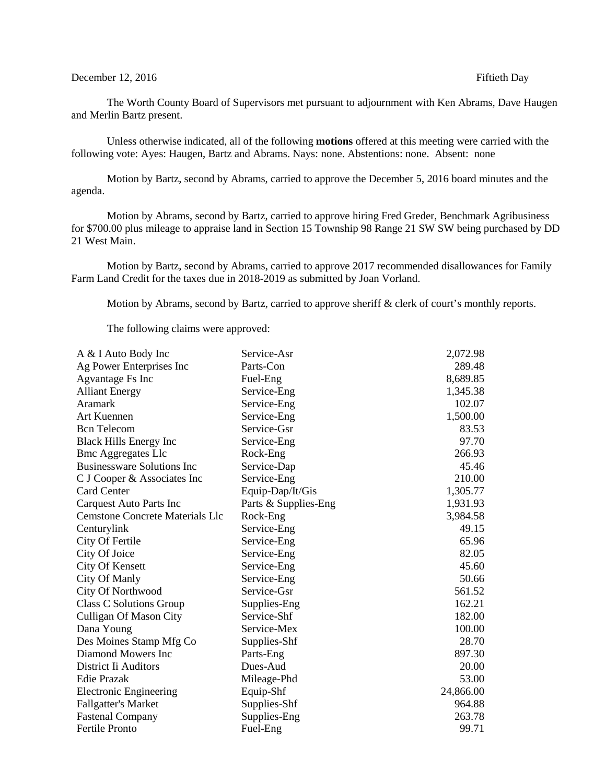## December 12, 2016 **Fiftieth Day**

The Worth County Board of Supervisors met pursuant to adjournment with Ken Abrams, Dave Haugen and Merlin Bartz present.

Unless otherwise indicated, all of the following **motions** offered at this meeting were carried with the following vote: Ayes: Haugen, Bartz and Abrams. Nays: none. Abstentions: none. Absent: none

Motion by Bartz, second by Abrams, carried to approve the December 5, 2016 board minutes and the agenda.

Motion by Abrams, second by Bartz, carried to approve hiring Fred Greder, Benchmark Agribusiness for \$700.00 plus mileage to appraise land in Section 15 Township 98 Range 21 SW SW being purchased by DD 21 West Main.

Motion by Bartz, second by Abrams, carried to approve 2017 recommended disallowances for Family Farm Land Credit for the taxes due in 2018-2019 as submitted by Joan Vorland.

Motion by Abrams, second by Bartz, carried to approve sheriff & clerk of court's monthly reports.

The following claims were approved:

| A & I Auto Body Inc                    | Service-Asr          | 2,072.98  |
|----------------------------------------|----------------------|-----------|
| Ag Power Enterprises Inc               | Parts-Con            | 289.48    |
| <b>Agvantage Fs Inc</b>                | Fuel-Eng             | 8,689.85  |
| <b>Alliant Energy</b>                  | Service-Eng          | 1,345.38  |
| <b>Aramark</b>                         | Service-Eng          | 102.07    |
| Art Kuennen                            | Service-Eng          | 1,500.00  |
| <b>Bcn</b> Telecom                     | Service-Gsr          | 83.53     |
| <b>Black Hills Energy Inc</b>          | Service-Eng          | 97.70     |
| <b>Bmc Aggregates Llc</b>              | Rock-Eng             | 266.93    |
| <b>Businessware Solutions Inc</b>      | Service-Dap          | 45.46     |
| C J Cooper & Associates Inc            | Service-Eng          | 210.00    |
| <b>Card Center</b>                     | Equip-Dap/It/Gis     | 1,305.77  |
| Carquest Auto Parts Inc                | Parts & Supplies-Eng | 1,931.93  |
| <b>Cemstone Concrete Materials Llc</b> | Rock-Eng             | 3,984.58  |
| Centurylink                            | Service-Eng          | 49.15     |
| City Of Fertile                        | Service-Eng          | 65.96     |
| City Of Joice                          | Service-Eng          | 82.05     |
| <b>City Of Kensett</b>                 | Service-Eng          | 45.60     |
| City Of Manly                          | Service-Eng          | 50.66     |
| <b>City Of Northwood</b>               | Service-Gsr          | 561.52    |
| Class C Solutions Group                | Supplies-Eng         | 162.21    |
| <b>Culligan Of Mason City</b>          | Service-Shf          | 182.00    |
| Dana Young                             | Service-Mex          | 100.00    |
| Des Moines Stamp Mfg Co                | Supplies-Shf         | 28.70     |
| Diamond Mowers Inc                     | Parts-Eng            | 897.30    |
| District Ii Auditors                   | Dues-Aud             | 20.00     |
| <b>Edie Prazak</b>                     | Mileage-Phd          | 53.00     |
| <b>Electronic Engineering</b>          | Equip-Shf            | 24,866.00 |
| <b>Fallgatter's Market</b>             | Supplies-Shf         | 964.88    |
| <b>Fastenal Company</b>                | Supplies-Eng         | 263.78    |
| <b>Fertile Pronto</b>                  | Fuel-Eng             | 99.71     |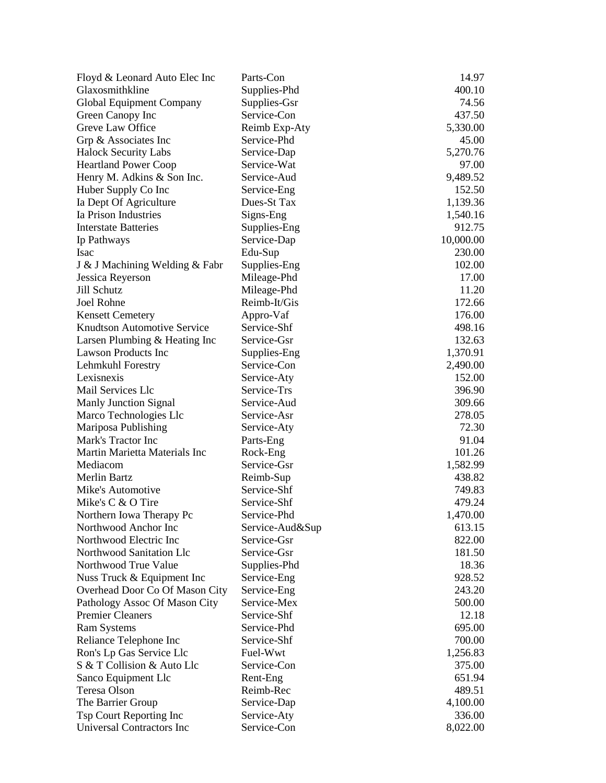| Floyd & Leonard Auto Elec Inc      | Parts-Con     | 14.97     |
|------------------------------------|---------------|-----------|
| Glaxosmithkline                    | Supplies-Phd  | 400.10    |
| Global Equipment Company           | Supplies-Gsr  | 74.56     |
| Green Canopy Inc                   | Service-Con   | 437.50    |
| Greve Law Office                   | Reimb Exp-Aty | 5,330.00  |
| Grp & Associates Inc               | Service-Phd   | 45.00     |
| <b>Halock Security Labs</b>        | Service-Dap   | 5,270.76  |
| <b>Heartland Power Coop</b>        | Service-Wat   | 97.00     |
| Henry M. Adkins & Son Inc.         | Service-Aud   | 9,489.52  |
| Huber Supply Co Inc                | Service-Eng   | 152.50    |
| Ia Dept Of Agriculture             | Dues-St Tax   | 1,139.36  |
| Ia Prison Industries               | Signs-Eng     | 1,540.16  |
| <b>Interstate Batteries</b>        | Supplies-Eng  | 912.75    |
| Ip Pathways                        | Service-Dap   | 10,000.00 |
| Isac                               | Edu-Sup       | 230.00    |
| J & J Machining Welding & Fabr     | Supplies-Eng  | 102.00    |
| Jessica Reyerson                   | Mileage-Phd   | 17.00     |
| Jill Schutz                        | Mileage-Phd   | 11.20     |
| Joel Rohne                         | Reimb-It/Gis  | 172.66    |
| <b>Kensett Cemetery</b>            | Appro-Vaf     | 176.00    |
| <b>Knudtson Automotive Service</b> | Service-Shf   | 498.16    |
| Larsen Plumbing & Heating Inc      | Service-Gsr   | 132.63    |
| Lawson Products Inc                | Supplies-Eng  | 1,370.91  |
| Lehmkuhl Forestry                  | Service-Con   | 2,490.00  |
| Lexisnexis                         | Service-Aty   | 152.00    |
| Mail Services Llc                  | Service-Trs   | 396.90    |
| Manly Junction Signal              | Service-Aud   | 309.66    |
| Marco Technologies Llc             | Service-Asr   | 278.05    |
| Mariposa Publishing                | Service-Aty   | 72.30     |
| Mark's Tractor Inc                 | Parts-Eng     | 91.04     |
| Martin Marietta Materials Inc      | Rock-Eng      | 101.26    |
| Mediacom                           | Service-Gsr   | 1,582.99  |
| <b>Merlin Bartz</b>                | Reimb-Sup     | 438.82    |
| Mike's Automotive                  | Service-Shf   | 749.83    |
| Mike's C & O Tire                  | Service-Shf   | 479.24    |
| Northern Iowa Therapy Pc           | Service-Phd   | 1,470.00  |
| Northwood Anchor Inc               | Service-Aud⋑  | 613.15    |
| Northwood Electric Inc             | Service-Gsr   | 822.00    |
| Northwood Sanitation Llc           | Service-Gsr   | 181.50    |
| Northwood True Value               | Supplies-Phd  | 18.36     |
| Nuss Truck & Equipment Inc         | Service-Eng   | 928.52    |
| Overhead Door Co Of Mason City     | Service-Eng   | 243.20    |
| Pathology Assoc Of Mason City      | Service-Mex   | 500.00    |
| <b>Premier Cleaners</b>            | Service-Shf   | 12.18     |
| <b>Ram Systems</b>                 | Service-Phd   | 695.00    |
| Reliance Telephone Inc             | Service-Shf   | 700.00    |
| Ron's Lp Gas Service Llc           | Fuel-Wwt      | 1,256.83  |
| S & T Collision & Auto Llc         | Service-Con   | 375.00    |
| Sanco Equipment Llc                | Rent-Eng      | 651.94    |
| Teresa Olson                       | Reimb-Rec     | 489.51    |
| The Barrier Group                  | Service-Dap   | 4,100.00  |
| Tsp Court Reporting Inc            | Service-Aty   | 336.00    |
| Universal Contractors Inc          | Service-Con   | 8,022.00  |